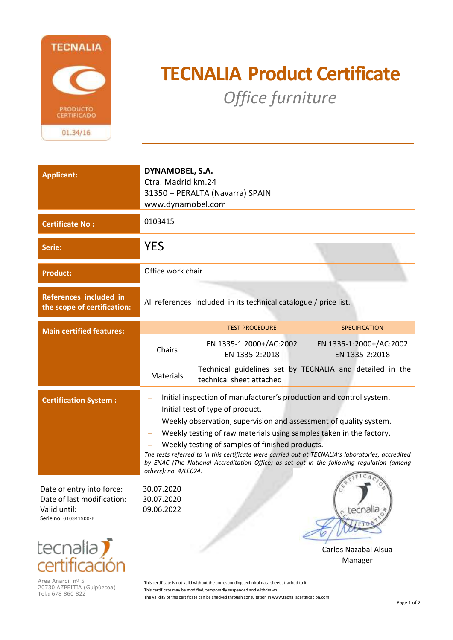

## **TECNALIA Product Certificate**  *Office furniture* **º**

| <b>Applicant:</b>                                                                                                         | DYNAMOBEL, S.A.<br>Ctra. Madrid km.24<br>31350 - PERALTA (Navarra) SPAIN<br>www.dynamobel.com                                                                                                                                                                                                                                                                                                                                                                                                                                                       |
|---------------------------------------------------------------------------------------------------------------------------|-----------------------------------------------------------------------------------------------------------------------------------------------------------------------------------------------------------------------------------------------------------------------------------------------------------------------------------------------------------------------------------------------------------------------------------------------------------------------------------------------------------------------------------------------------|
| <b>Certificate No:</b>                                                                                                    | 0103415                                                                                                                                                                                                                                                                                                                                                                                                                                                                                                                                             |
| Serie:                                                                                                                    | <b>YES</b>                                                                                                                                                                                                                                                                                                                                                                                                                                                                                                                                          |
| <b>Product:</b>                                                                                                           | Office work chair                                                                                                                                                                                                                                                                                                                                                                                                                                                                                                                                   |
| References included in<br>the scope of certification:                                                                     | All references included in its technical catalogue / price list.                                                                                                                                                                                                                                                                                                                                                                                                                                                                                    |
| <b>Main certified features:</b>                                                                                           | <b>TEST PROCEDURE</b><br><b>SPECIFICATION</b>                                                                                                                                                                                                                                                                                                                                                                                                                                                                                                       |
|                                                                                                                           | EN 1335-1:2000+/AC:2002<br>EN 1335-1:2000+/AC:2002<br>Chairs<br>EN 1335-2:2018<br>EN 1335-2:2018                                                                                                                                                                                                                                                                                                                                                                                                                                                    |
|                                                                                                                           | Technical guidelines set by TECNALIA and detailed in the<br>Materials<br>technical sheet attached                                                                                                                                                                                                                                                                                                                                                                                                                                                   |
| <b>Certification System:</b>                                                                                              | Initial inspection of manufacturer's production and control system.<br>÷,<br>Initial test of type of product.<br>$\equiv$<br>Weekly observation, supervision and assessment of quality system.<br>Weekly testing of raw materials using samples taken in the factory.<br>Weekly testing of samples of finished products.<br>The tests referred to in this certificate were carried out at TECNALIA's laboratories, accredited<br>by ENAC (The National Accreditation Office) as set out in the following regulation (among<br>others): no. 4/LE024. |
| Date of entry into force:<br>Date of last modification:<br>Valid until:<br>Serie no: 010341500-E<br>tocoplin <sup>7</sup> | 30.07.2020<br>30.07.2020<br>09.06.2022<br><sub>c</sub> tecnalia                                                                                                                                                                                                                                                                                                                                                                                                                                                                                     |



Area Anardi, nº 5 20730 AZPEITIA (Guipúzcoa) Tel**.:** 678 860 822

This certificate is not valid without the corresponding technical data sheet attached to it. This certificate may be modified, temporarily suspended and withdrawn. The validity of this certificate can be checked through consultation in www.tecnaliacertificacion.com.

Carlos Nazabal Alsua Manager